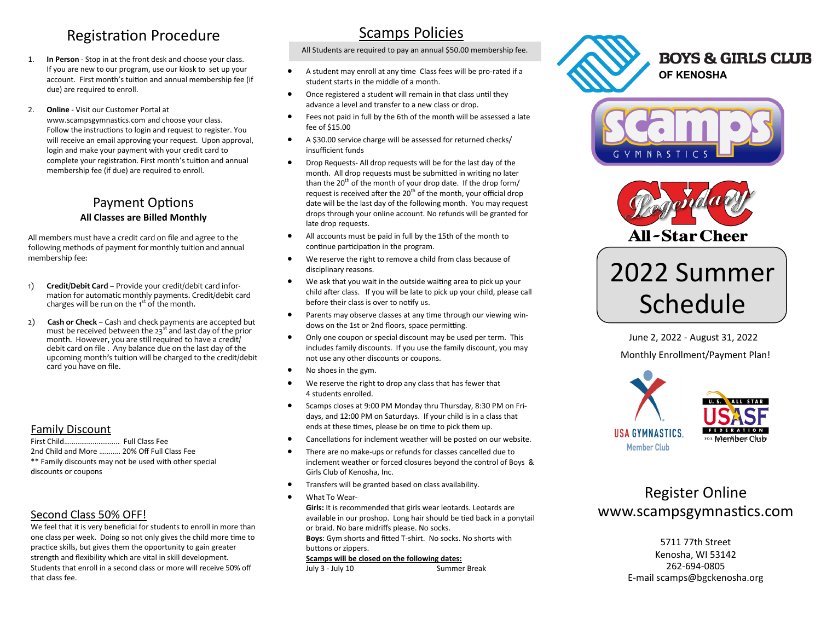#### Registration Procedure

- 1. **In Person**  Stop in at the front desk and choose your class. If you are new to our program, use our kiosk to set up your account. First month's tuition and annual membership fee (if due) are required to enroll.
- 2. **Online**  Visit our Customer Portal at www.scampsgymnastics.com and choose your class. Follow the instructions to login and request to register. You will receive an email approving your request. Upon approval, login and make your payment with your credit card to complete your registration. First month's tuition and annual membership fee (if due) are required to enroll.

#### Payment Options **All Classes are Billed Monthly**

All members must have a credit card on file and agree to the following methods of payment for monthly tuition and annual membership fee:

- 1) **Credit/Debit Card**  Provide your credit/debit card information for automatic monthly payments. Credit/debit card charges will be run on the 1<sup>st</sup> of the month.
- 2) **Cash or Check**  Cash and check payments are accepted but must be received between the  $23<sup>st</sup>$  and last day of the prior month. However, you are still required to have a credit/ debit card on file . Any balance due on the last day of the upcoming month's tuition will be charged to the credit/debit card you have on file.

#### Family Discount

First Child……………………….. Full Class Fee 2nd Child and More ……..… 20% Off Full Class Fee \*\* Family discounts may not be used with other special discounts or coupons

#### Second Class 50% OFF!

We feel that it is very beneficial for students to enroll in more than one class per week. Doing so not only gives the child more time to practice skills, but gives them the opportunity to gain greater strength and flexibility which are vital in skill development. Students that enroll in a second class or more will receive 50% off that class fee.

#### Scamps Policies

All Students are required to pay an annual \$50.00 membership fee.

- A student may enroll at any time Class fees will be pro-rated if a student starts in the middle of a month.
- Once registered a student will remain in that class until they advance a level and transfer to a new class or drop.
- Fees not paid in full by the 6th of the month will be assessed a late fee of \$15.00
- A \$30.00 service charge will be assessed for returned checks/ insufficient funds
- Drop Requests- All drop requests will be for the last day of the month. All drop requests must be submitted in writing no later than the  $20<sup>th</sup>$  of the month of your drop date. If the drop form/ request is received after the  $20<sup>th</sup>$  of the month, your official drop date will be the last day of the following month. You may request drops through your online account. No refunds will be granted for late drop requests.
- All accounts must be paid in full by the 15th of the month to continue participation in the program.
- We reserve the right to remove a child from class because of disciplinary reasons.
- We ask that you wait in the outside waiting area to pick up your child after class. If you will be late to pick up your child, please call before their class is over to notify us.
- Parents may observe classes at any time through our viewing windows on the 1st or 2nd floors, space permitting.
- Only one coupon or special discount may be used per term. This includes family discounts. If you use the family discount, you may not use any other discounts or coupons.
- No shoes in the gym.
- We reserve the right to drop any class that has fewer that 4 students enrolled.
- Scamps closes at 9:00 PM Monday thru Thursday, 8:30 PM on Fridays, and 12:00 PM on Saturdays. If your child is in a class that ends at these times, please be on time to pick them up.
- Cancellations for inclement weather will be posted on our website.
- There are no make-ups or refunds for classes cancelled due to inclement weather or forced closures beyond the control of Boys & Girls Club of Kenosha, Inc.
- Transfers will be granted based on class availability.
- What To Wear-

**Girls:** It is recommended that girls wear leotards. Leotards are available in our proshop. Long hair should be tied back in a ponytail or braid. No bare midriffs please. No socks.

**Boys**: Gym shorts and fitted T-shirt. No socks. No shorts with buttons or zippers.

#### **Scamps will be closed on the following dates:**

July 3 - July 10 Summer Break







# 2022 Summer Schedule

Monthly Enrollment/Payment Plan! June 2, 2022 - August 31, 2022



### Register Online www.scampsgymnastics.com

5711 77th Street Kenosha, WI 53142 262-694-0805 E-mail scamps@bgckenosha.org